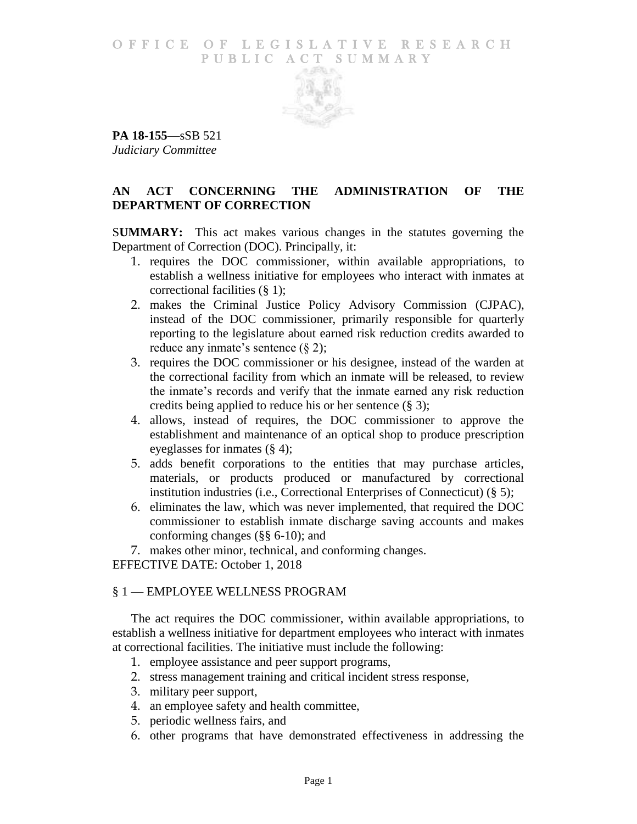## O F FICE OF LEGISLATIVE RESEARCH PUBLIC ACT SUMMARY



**PA 18-155**—sSB 521 *Judiciary Committee*

## **AN ACT CONCERNING THE ADMINISTRATION OF THE DEPARTMENT OF CORRECTION**

S**UMMARY:** This act makes various changes in the statutes governing the Department of Correction (DOC). Principally, it:

- 1. requires the DOC commissioner, within available appropriations, to establish a wellness initiative for employees who interact with inmates at correctional facilities (§ 1);
- 2. makes the Criminal Justice Policy Advisory Commission (CJPAC), instead of the DOC commissioner, primarily responsible for quarterly reporting to the legislature about earned risk reduction credits awarded to reduce any inmate's sentence  $(\S 2)$ ;
- 3. requires the DOC commissioner or his designee, instead of the warden at the correctional facility from which an inmate will be released, to review the inmate's records and verify that the inmate earned any risk reduction credits being applied to reduce his or her sentence (§ 3);
- 4. allows, instead of requires, the DOC commissioner to approve the establishment and maintenance of an optical shop to produce prescription eyeglasses for inmates (§ 4);
- 5. adds benefit corporations to the entities that may purchase articles, materials, or products produced or manufactured by correctional institution industries (i.e., Correctional Enterprises of Connecticut) (§ 5);
- 6. eliminates the law, which was never implemented, that required the DOC commissioner to establish inmate discharge saving accounts and makes conforming changes (§§ 6-10); and

7. makes other minor, technical, and conforming changes.

EFFECTIVE DATE: October 1, 2018

## § 1 — EMPLOYEE WELLNESS PROGRAM

The act requires the DOC commissioner, within available appropriations, to establish a wellness initiative for department employees who interact with inmates at correctional facilities. The initiative must include the following:

- 1. employee assistance and peer support programs,
- 2. stress management training and critical incident stress response,
- 3. military peer support,
- 4. an employee safety and health committee,
- 5. periodic wellness fairs, and
- 6. other programs that have demonstrated effectiveness in addressing the